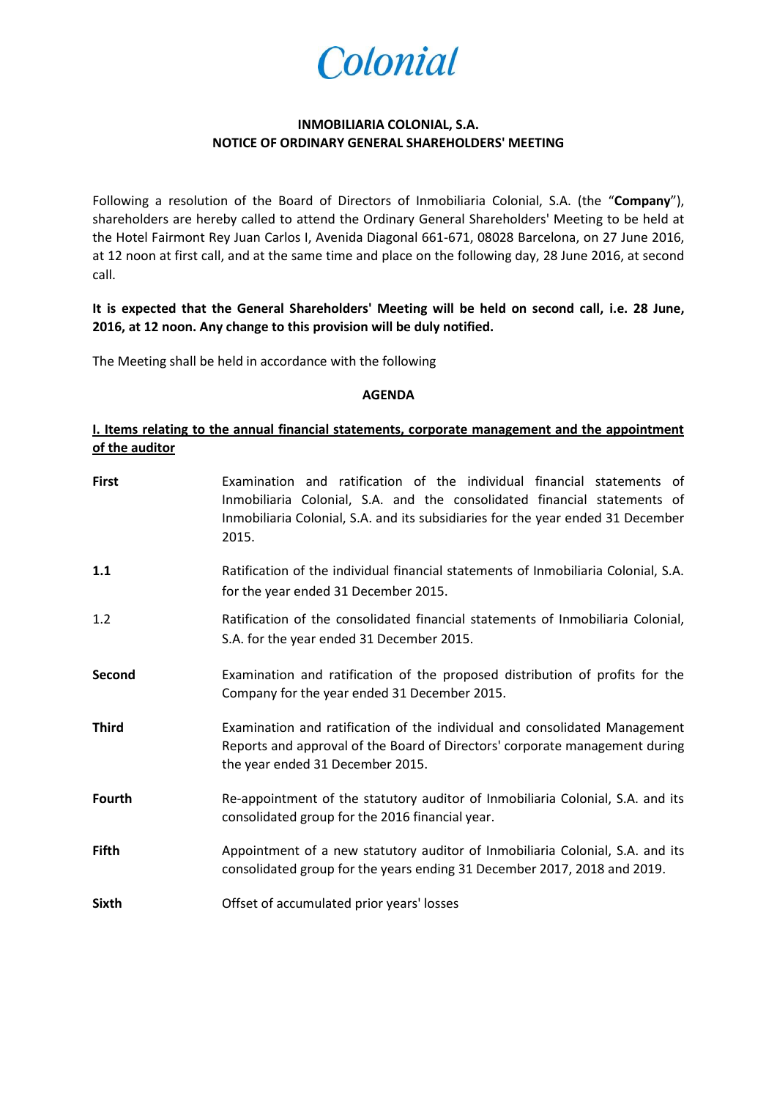

# **INMOBILIARIA COLONIAL, S.A. NOTICE OF ORDINARY GENERAL SHAREHOLDERS' MEETING**

Following a resolution of the Board of Directors of Inmobiliaria Colonial, S.A. (the "**Company**"), shareholders are hereby called to attend the Ordinary General Shareholders' Meeting to be held at the Hotel Fairmont Rey Juan Carlos I, Avenida Diagonal 661-671, 08028 Barcelona, on 27 June 2016, at 12 noon at first call, and at the same time and place on the following day, 28 June 2016, at second call.

# **It is expected that the General Shareholders' Meeting will be held on second call, i.e. 28 June, 2016, at 12 noon. Any change to this provision will be duly notified.**

The Meeting shall be held in accordance with the following

#### **AGENDA**

# **I. Items relating to the annual financial statements, corporate management and the appointment of the auditor**

| <b>First</b>  | Examination and ratification of the individual financial statements of<br>Inmobiliaria Colonial, S.A. and the consolidated financial statements of<br>Inmobiliaria Colonial, S.A. and its subsidiaries for the year ended 31 December<br>2015. |
|---------------|------------------------------------------------------------------------------------------------------------------------------------------------------------------------------------------------------------------------------------------------|
| 1.1           | Ratification of the individual financial statements of Inmobiliaria Colonial, S.A.<br>for the year ended 31 December 2015.                                                                                                                     |
| 1.2           | Ratification of the consolidated financial statements of Inmobiliaria Colonial,<br>S.A. for the year ended 31 December 2015.                                                                                                                   |
| Second        | Examination and ratification of the proposed distribution of profits for the<br>Company for the year ended 31 December 2015.                                                                                                                   |
| <b>Third</b>  | Examination and ratification of the individual and consolidated Management<br>Reports and approval of the Board of Directors' corporate management during<br>the year ended 31 December 2015.                                                  |
| <b>Fourth</b> | Re-appointment of the statutory auditor of Inmobiliaria Colonial, S.A. and its<br>consolidated group for the 2016 financial year.                                                                                                              |
| <b>Fifth</b>  | Appointment of a new statutory auditor of Inmobiliaria Colonial, S.A. and its<br>consolidated group for the years ending 31 December 2017, 2018 and 2019.                                                                                      |
| <b>Sixth</b>  | Offset of accumulated prior years' losses                                                                                                                                                                                                      |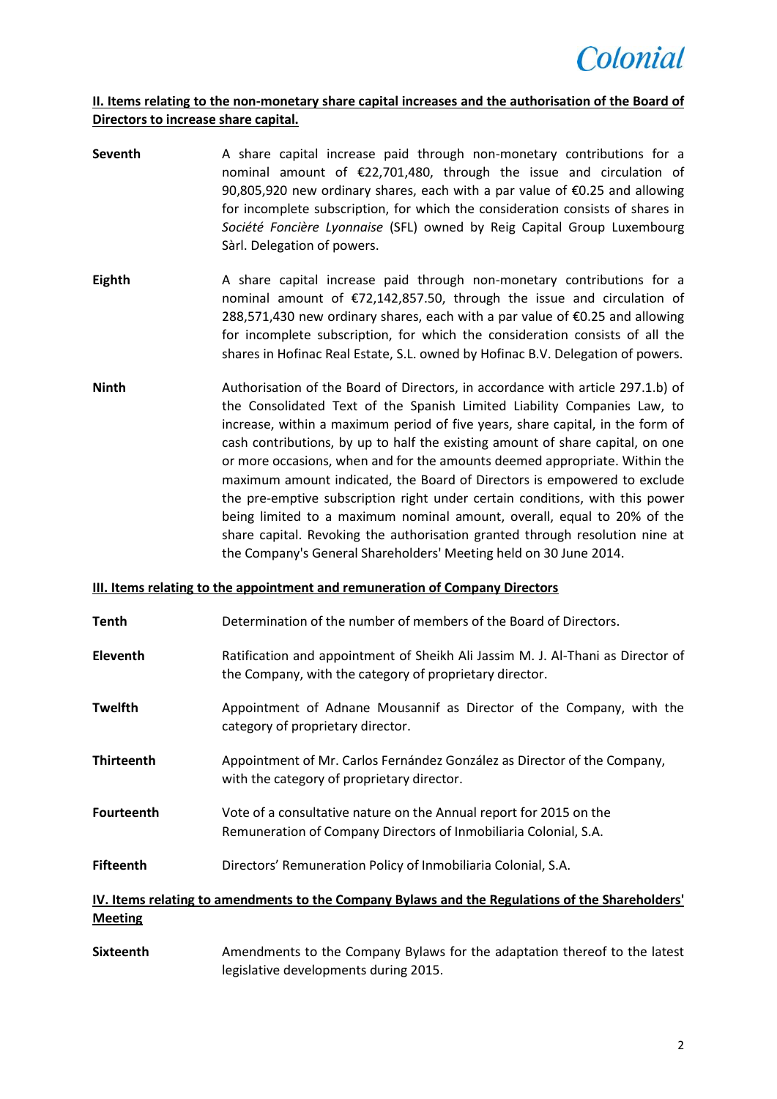

# **II. Items relating to the non-monetary share capital increases and the authorisation of the Board of Directors to increase share capital.**

- **Seventh** A share capital increase paid through non-monetary contributions for a nominal amount of €22,701,480, through the issue and circulation of 90,805,920 new ordinary shares, each with a par value of €0.25 and allowing for incomplete subscription, for which the consideration consists of shares in *Société Foncière Lyonnaise* (SFL) owned by Reig Capital Group Luxembourg Sàrl. Delegation of powers.
- **Eighth** A share capital increase paid through non-monetary contributions for a nominal amount of €72,142,857.50, through the issue and circulation of 288,571,430 new ordinary shares, each with a par value of €0.25 and allowing for incomplete subscription, for which the consideration consists of all the shares in Hofinac Real Estate, S.L. owned by Hofinac B.V. Delegation of powers.
- **Ninth** Authorisation of the Board of Directors, in accordance with article 297.1.b) of the Consolidated Text of the Spanish Limited Liability Companies Law, to increase, within a maximum period of five years, share capital, in the form of cash contributions, by up to half the existing amount of share capital, on one or more occasions, when and for the amounts deemed appropriate. Within the maximum amount indicated, the Board of Directors is empowered to exclude the pre-emptive subscription right under certain conditions, with this power being limited to a maximum nominal amount, overall, equal to 20% of the share capital. Revoking the authorisation granted through resolution nine at the Company's General Shareholders' Meeting held on 30 June 2014.

## **III. Items relating to the appointment and remuneration of Company Directors**

- **Tenth** Determination of the number of members of the Board of Directors.
- **Eleventh** Ratification and appointment of Sheikh Ali Jassim M. J. Al-Thani as Director of the Company, with the category of proprietary director.
- **Twelfth** Appointment of Adnane Mousannif as Director of the Company, with the category of proprietary director.
- **Thirteenth** Appointment of Mr. Carlos Fernández González as Director of the Company, with the category of proprietary director.
- **Fourteenth** Vote of a consultative nature on the Annual report for 2015 on the Remuneration of Company Directors of Inmobiliaria Colonial, S.A.
- **Fifteenth** Directors' Remuneration Policy of Inmobiliaria Colonial, S.A.

# **IV. Items relating to amendments to the Company Bylaws and the Regulations of the Shareholders' Meeting**

**Sixteenth** Amendments to the Company Bylaws for the adaptation thereof to the latest legislative developments during 2015.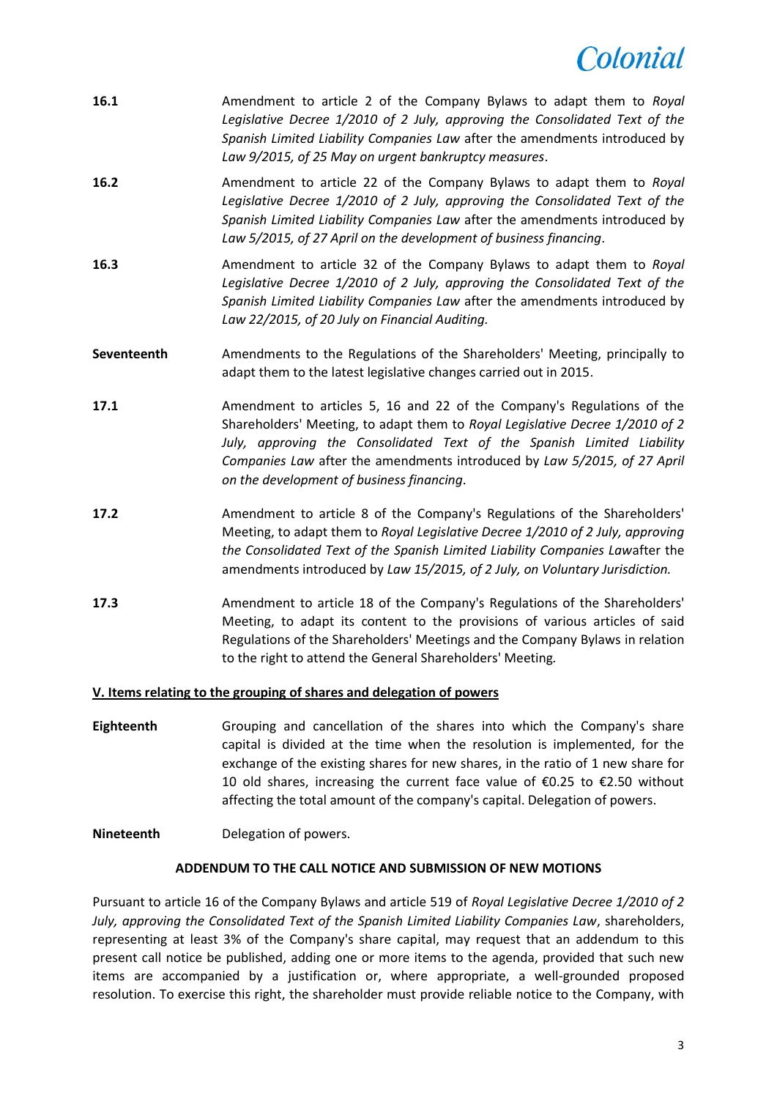# *colonial*

- **16.1** Amendment to article 2 of the Company Bylaws to adapt them to *Royal Legislative Decree 1/2010 of 2 July, approving the Consolidated Text of the Spanish Limited Liability Companies Law* after the amendments introduced by *Law 9/2015, of 25 May on urgent bankruptcy measures*.
- **16.2** Amendment to article 22 of the Company Bylaws to adapt them to *Royal Legislative Decree 1/2010 of 2 July, approving the Consolidated Text of the Spanish Limited Liability Companies Law* after the amendments introduced by *Law 5/2015, of 27 April on the development of business financing*.
- **16.3** Amendment to article 32 of the Company Bylaws to adapt them to *Royal Legislative Decree 1/2010 of 2 July, approving the Consolidated Text of the Spanish Limited Liability Companies Law* after the amendments introduced by *Law 22/2015, of 20 July on Financial Auditing.*
- **Seventeenth** Amendments to the Regulations of the Shareholders' Meeting, principally to adapt them to the latest legislative changes carried out in 2015.
- **17.1** Amendment to articles 5, 16 and 22 of the Company's Regulations of the Shareholders' Meeting, to adapt them to *Royal Legislative Decree 1/2010 of 2 July, approving the Consolidated Text of the Spanish Limited Liability Companies Law* after the amendments introduced by *Law 5/2015, of 27 April on the development of business financing*.
- **17.2** Amendment to article 8 of the Company's Regulations of the Shareholders' Meeting, to adapt them to *Royal Legislative Decree 1/2010 of 2 July, approving the Consolidated Text of the Spanish Limited Liability Companies Law*after the amendments introduced by *Law 15/2015, of 2 July, on Voluntary Jurisdiction.*
- **17.3** Amendment to article 18 of the Company's Regulations of the Shareholders' Meeting, to adapt its content to the provisions of various articles of said Regulations of the Shareholders' Meetings and the Company Bylaws in relation to the right to attend the General Shareholders' Meeting*.*

## **V. Items relating to the grouping of shares and delegation of powers**

**Eighteenth** Grouping and cancellation of the shares into which the Company's share capital is divided at the time when the resolution is implemented, for the exchange of the existing shares for new shares, in the ratio of 1 new share for 10 old shares, increasing the current face value of €0.25 to €2.50 without affecting the total amount of the company's capital. Delegation of powers.

# **Nineteenth** Delegation of powers.

## **ADDENDUM TO THE CALL NOTICE AND SUBMISSION OF NEW MOTIONS**

Pursuant to article 16 of the Company Bylaws and article 519 of *Royal Legislative Decree 1/2010 of 2 July, approving the Consolidated Text of the Spanish Limited Liability Companies Law*, shareholders, representing at least 3% of the Company's share capital, may request that an addendum to this present call notice be published, adding one or more items to the agenda, provided that such new items are accompanied by a justification or, where appropriate, a well-grounded proposed resolution. To exercise this right, the shareholder must provide reliable notice to the Company, with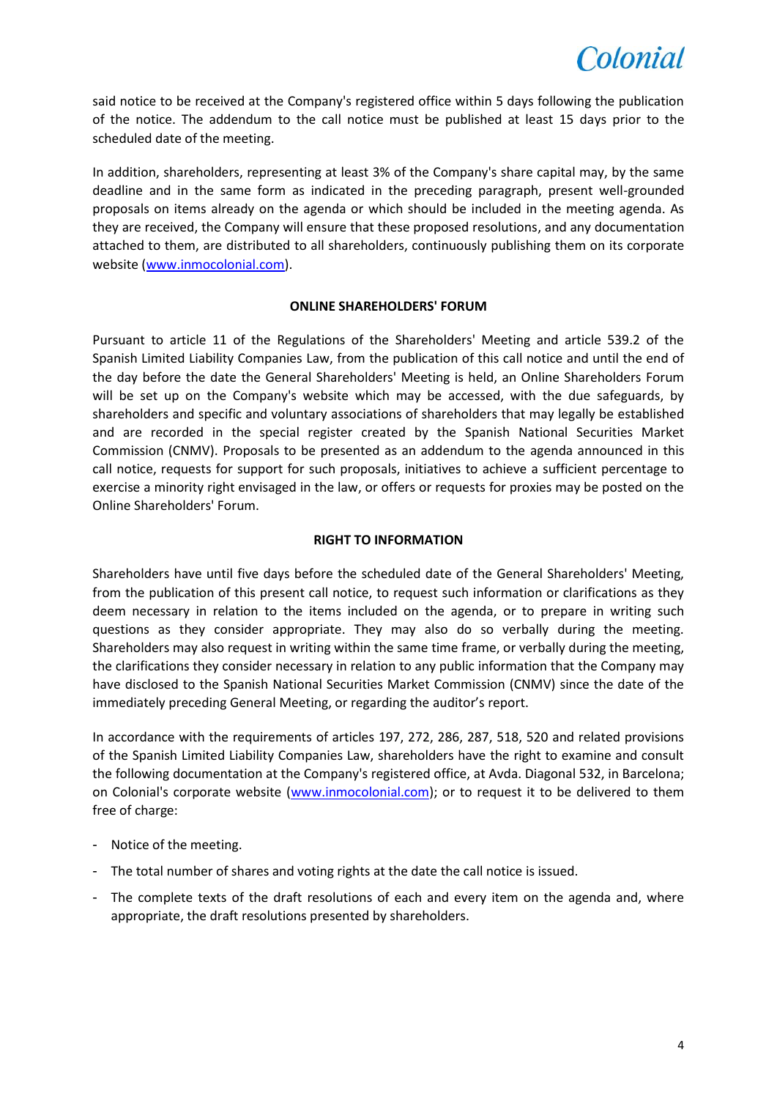

said notice to be received at the Company's registered office within 5 days following the publication of the notice. The addendum to the call notice must be published at least 15 days prior to the scheduled date of the meeting.

In addition, shareholders, representing at least 3% of the Company's share capital may, by the same deadline and in the same form as indicated in the preceding paragraph, present well-grounded proposals on items already on the agenda or which should be included in the meeting agenda. As they are received, the Company will ensure that these proposed resolutions, and any documentation attached to them, are distributed to all shareholders, continuously publishing them on its corporate website [\(www.inmocolonial.com\)](http://www.inmocolonial.com/).

## **ONLINE SHAREHOLDERS' FORUM**

Pursuant to article 11 of the Regulations of the Shareholders' Meeting and article 539.2 of the Spanish Limited Liability Companies Law, from the publication of this call notice and until the end of the day before the date the General Shareholders' Meeting is held, an Online Shareholders Forum will be set up on the Company's website which may be accessed, with the due safeguards, by shareholders and specific and voluntary associations of shareholders that may legally be established and are recorded in the special register created by the Spanish National Securities Market Commission (CNMV). Proposals to be presented as an addendum to the agenda announced in this call notice, requests for support for such proposals, initiatives to achieve a sufficient percentage to exercise a minority right envisaged in the law, or offers or requests for proxies may be posted on the Online Shareholders' Forum.

## **RIGHT TO INFORMATION**

Shareholders have until five days before the scheduled date of the General Shareholders' Meeting, from the publication of this present call notice, to request such information or clarifications as they deem necessary in relation to the items included on the agenda, or to prepare in writing such questions as they consider appropriate. They may also do so verbally during the meeting. Shareholders may also request in writing within the same time frame, or verbally during the meeting, the clarifications they consider necessary in relation to any public information that the Company may have disclosed to the Spanish National Securities Market Commission (CNMV) since the date of the immediately preceding General Meeting, or regarding the auditor's report.

In accordance with the requirements of articles 197, 272, 286, 287, 518, 520 and related provisions of the Spanish Limited Liability Companies Law, shareholders have the right to examine and consult the following documentation at the Company's registered office, at Avda. Diagonal 532, in Barcelona; on Colonial's corporate website [\(www.inmocolonial.com\)](http://www.inmocolonial.com/); or to request it to be delivered to them free of charge:

- Notice of the meeting.
- The total number of shares and voting rights at the date the call notice is issued.
- The complete texts of the draft resolutions of each and every item on the agenda and, where appropriate, the draft resolutions presented by shareholders.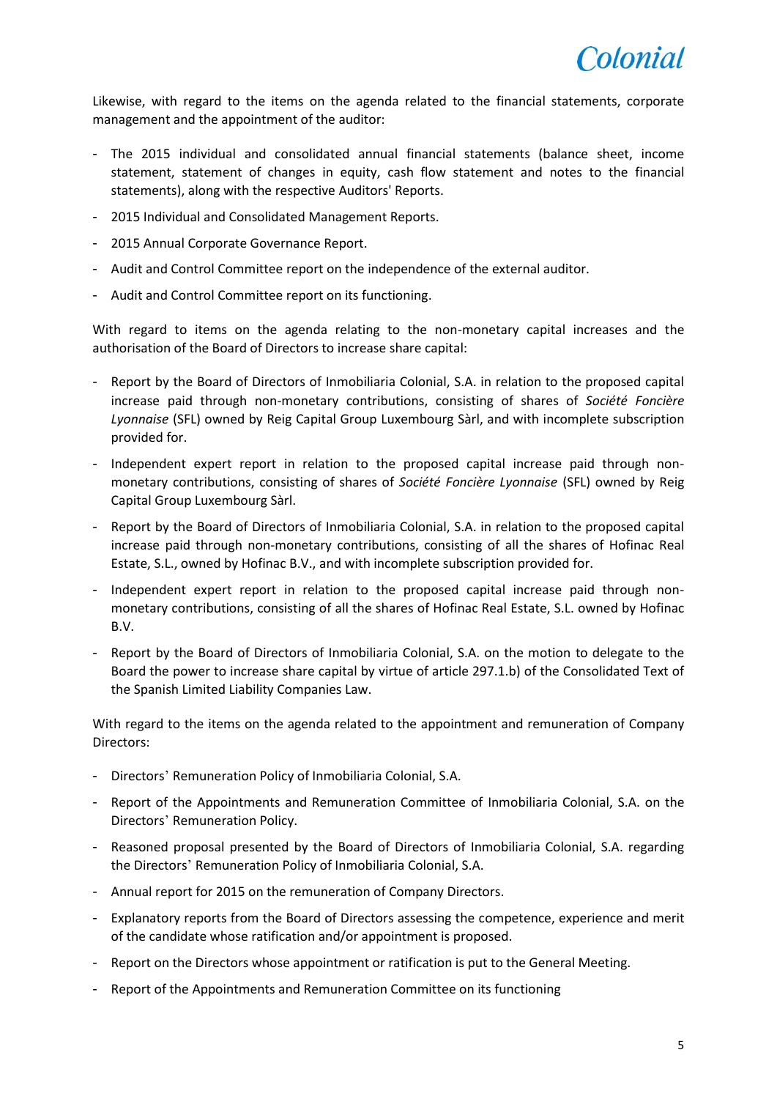Likewise, with regard to the items on the agenda related to the financial statements, corporate management and the appointment of the auditor:

- The 2015 individual and consolidated annual financial statements (balance sheet, income statement, statement of changes in equity, cash flow statement and notes to the financial statements), along with the respective Auditors' Reports.
- 2015 Individual and Consolidated Management Reports.
- 2015 Annual Corporate Governance Report.
- Audit and Control Committee report on the independence of the external auditor.
- Audit and Control Committee report on its functioning.

With regard to items on the agenda relating to the non-monetary capital increases and the authorisation of the Board of Directors to increase share capital:

- Report by the Board of Directors of Inmobiliaria Colonial, S.A. in relation to the proposed capital increase paid through non-monetary contributions, consisting of shares of *Société Foncière Lyonnaise* (SFL) owned by Reig Capital Group Luxembourg Sàrl, and with incomplete subscription provided for.
- Independent expert report in relation to the proposed capital increase paid through nonmonetary contributions, consisting of shares of *Société Foncière Lyonnaise* (SFL) owned by Reig Capital Group Luxembourg Sàrl.
- Report by the Board of Directors of Inmobiliaria Colonial, S.A. in relation to the proposed capital increase paid through non-monetary contributions, consisting of all the shares of Hofinac Real Estate, S.L., owned by Hofinac B.V., and with incomplete subscription provided for.
- Independent expert report in relation to the proposed capital increase paid through nonmonetary contributions, consisting of all the shares of Hofinac Real Estate, S.L. owned by Hofinac B.V.
- Report by the Board of Directors of Inmobiliaria Colonial, S.A. on the motion to delegate to the Board the power to increase share capital by virtue of article 297.1.b) of the Consolidated Text of the Spanish Limited Liability Companies Law.

With regard to the items on the agenda related to the appointment and remuneration of Company Directors:

- Directors' Remuneration Policy of Inmobiliaria Colonial, S.A.
- Report of the Appointments and Remuneration Committee of Inmobiliaria Colonial, S.A. on the Directors' Remuneration Policy.
- Reasoned proposal presented by the Board of Directors of Inmobiliaria Colonial, S.A. regarding the Directors' Remuneration Policy of Inmobiliaria Colonial, S.A.
- Annual report for 2015 on the remuneration of Company Directors.
- Explanatory reports from the Board of Directors assessing the competence, experience and merit of the candidate whose ratification and/or appointment is proposed.
- Report on the Directors whose appointment or ratification is put to the General Meeting.
- Report of the Appointments and Remuneration Committee on its functioning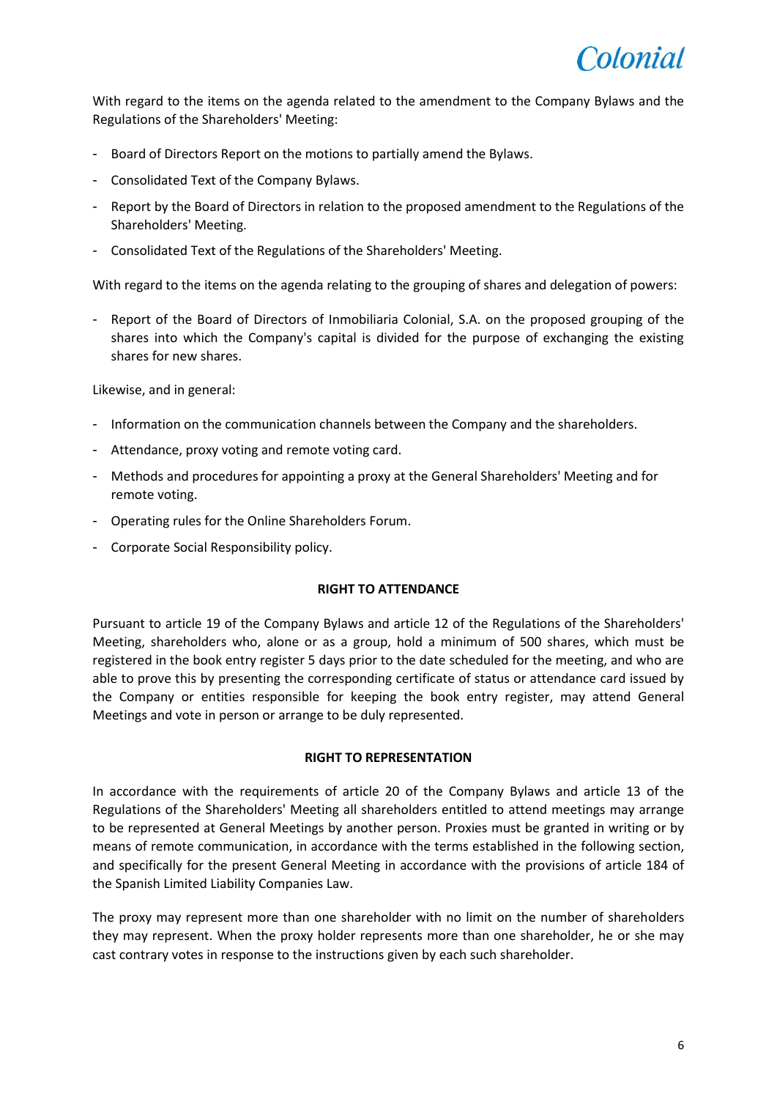

With regard to the items on the agenda related to the amendment to the Company Bylaws and the Regulations of the Shareholders' Meeting:

- Board of Directors Report on the motions to partially amend the Bylaws.
- Consolidated Text of the Company Bylaws.
- Report by the Board of Directors in relation to the proposed amendment to the Regulations of the Shareholders' Meeting.
- Consolidated Text of the Regulations of the Shareholders' Meeting.

With regard to the items on the agenda relating to the grouping of shares and delegation of powers:

- Report of the Board of Directors of Inmobiliaria Colonial, S.A. on the proposed grouping of the shares into which the Company's capital is divided for the purpose of exchanging the existing shares for new shares.

Likewise, and in general:

- Information on the communication channels between the Company and the shareholders.
- Attendance, proxy voting and remote voting card.
- Methods and procedures for appointing a proxy at the General Shareholders' Meeting and for remote voting.
- Operating rules for the Online Shareholders Forum.
- Corporate Social Responsibility policy.

#### **RIGHT TO ATTENDANCE**

Pursuant to article 19 of the Company Bylaws and article 12 of the Regulations of the Shareholders' Meeting, shareholders who, alone or as a group, hold a minimum of 500 shares, which must be registered in the book entry register 5 days prior to the date scheduled for the meeting, and who are able to prove this by presenting the corresponding certificate of status or attendance card issued by the Company or entities responsible for keeping the book entry register, may attend General Meetings and vote in person or arrange to be duly represented.

#### **RIGHT TO REPRESENTATION**

In accordance with the requirements of article 20 of the Company Bylaws and article 13 of the Regulations of the Shareholders' Meeting all shareholders entitled to attend meetings may arrange to be represented at General Meetings by another person. Proxies must be granted in writing or by means of remote communication, in accordance with the terms established in the following section, and specifically for the present General Meeting in accordance with the provisions of article 184 of the Spanish Limited Liability Companies Law.

The proxy may represent more than one shareholder with no limit on the number of shareholders they may represent. When the proxy holder represents more than one shareholder, he or she may cast contrary votes in response to the instructions given by each such shareholder.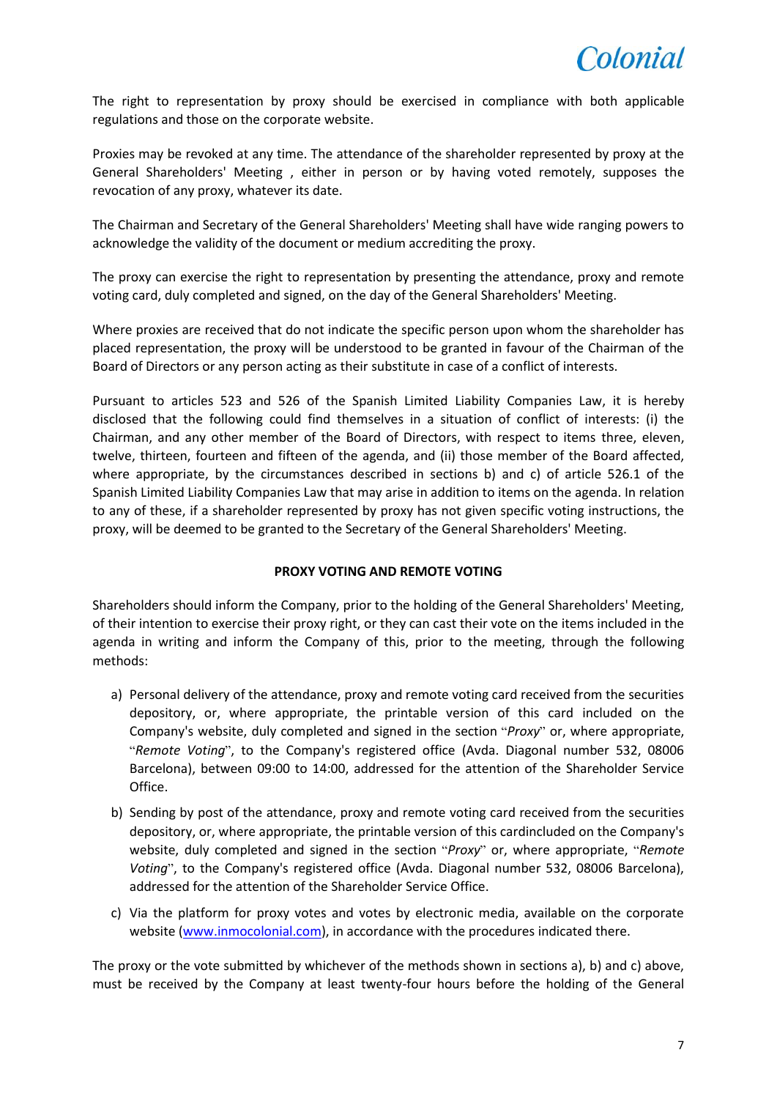The right to representation by proxy should be exercised in compliance with both applicable regulations and those on the corporate website.

Proxies may be revoked at any time. The attendance of the shareholder represented by proxy at the General Shareholders' Meeting , either in person or by having voted remotely, supposes the revocation of any proxy, whatever its date.

The Chairman and Secretary of the General Shareholders' Meeting shall have wide ranging powers to acknowledge the validity of the document or medium accrediting the proxy.

The proxy can exercise the right to representation by presenting the attendance, proxy and remote voting card, duly completed and signed, on the day of the General Shareholders' Meeting.

Where proxies are received that do not indicate the specific person upon whom the shareholder has placed representation, the proxy will be understood to be granted in favour of the Chairman of the Board of Directors or any person acting as their substitute in case of a conflict of interests.

Pursuant to articles 523 and 526 of the Spanish Limited Liability Companies Law, it is hereby disclosed that the following could find themselves in a situation of conflict of interests: (i) the Chairman, and any other member of the Board of Directors, with respect to items three, eleven, twelve, thirteen, fourteen and fifteen of the agenda, and (ii) those member of the Board affected, where appropriate, by the circumstances described in sections b) and c) of article 526.1 of the Spanish Limited Liability Companies Law that may arise in addition to items on the agenda. In relation to any of these, if a shareholder represented by proxy has not given specific voting instructions, the proxy, will be deemed to be granted to the Secretary of the General Shareholders' Meeting.

# **PROXY VOTING AND REMOTE VOTING**

Shareholders should inform the Company, prior to the holding of the General Shareholders' Meeting, of their intention to exercise their proxy right, or they can cast their vote on the items included in the agenda in writing and inform the Company of this, prior to the meeting, through the following methods:

- a) Personal delivery of the attendance, proxy and remote voting card received from the securities depository, or, where appropriate, the printable version of this card included on the Company's website, duly completed and signed in the section "*Proxy*" or, where appropriate, "*Remote Voting*", to the Company's registered office (Avda. Diagonal number 532, 08006 Barcelona), between 09:00 to 14:00, addressed for the attention of the Shareholder Service Office.
- b) Sending by post of the attendance, proxy and remote voting card received from the securities depository, or, where appropriate, the printable version of this cardincluded on the Company's website, duly completed and signed in the section "*Proxy*" or, where appropriate, "*Remote Voting*", to the Company's registered office (Avda. Diagonal number 532, 08006 Barcelona), addressed for the attention of the Shareholder Service Office.
- c) Via the platform for proxy votes and votes by electronic media, available on the corporate website [\(www.inmocolonial.com\)](http://www.inmocolonial.com/), in accordance with the procedures indicated there.

The proxy or the vote submitted by whichever of the methods shown in sections a), b) and c) above, must be received by the Company at least twenty-four hours before the holding of the General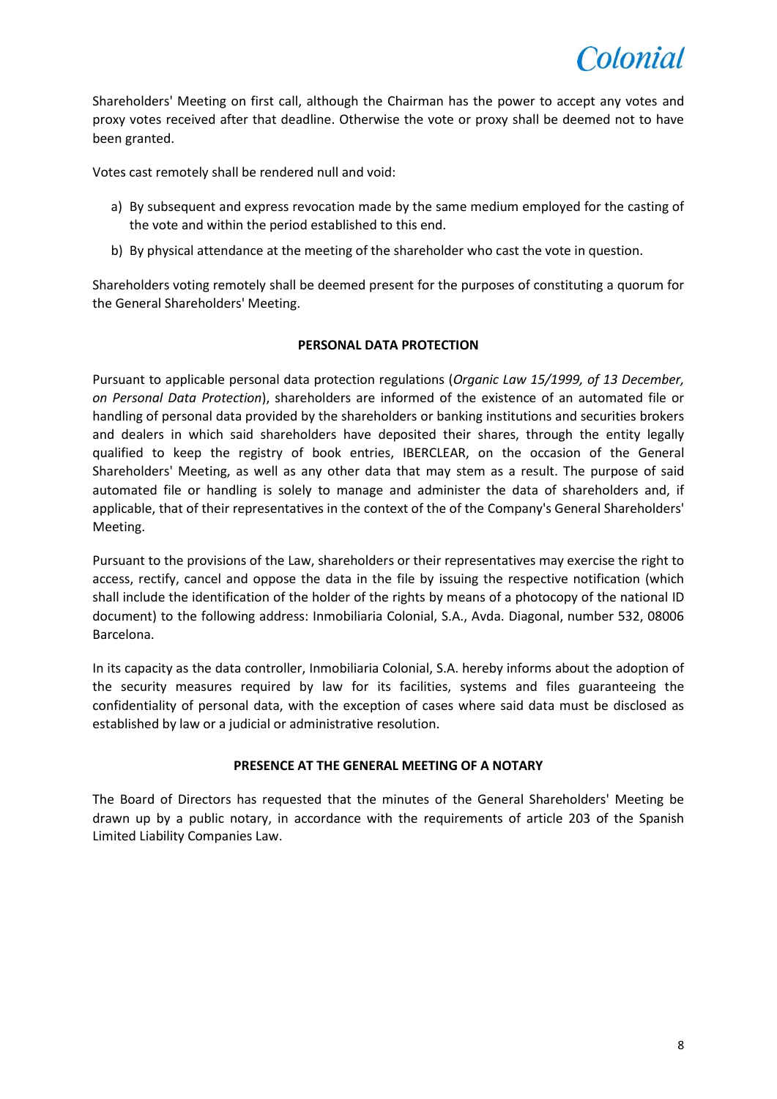

Shareholders' Meeting on first call, although the Chairman has the power to accept any votes and proxy votes received after that deadline. Otherwise the vote or proxy shall be deemed not to have been granted.

Votes cast remotely shall be rendered null and void:

- a) By subsequent and express revocation made by the same medium employed for the casting of the vote and within the period established to this end.
- b) By physical attendance at the meeting of the shareholder who cast the vote in question.

Shareholders voting remotely shall be deemed present for the purposes of constituting a quorum for the General Shareholders' Meeting.

## **PERSONAL DATA PROTECTION**

Pursuant to applicable personal data protection regulations (*Organic Law 15/1999, of 13 December, on Personal Data Protection*), shareholders are informed of the existence of an automated file or handling of personal data provided by the shareholders or banking institutions and securities brokers and dealers in which said shareholders have deposited their shares, through the entity legally qualified to keep the registry of book entries, IBERCLEAR, on the occasion of the General Shareholders' Meeting, as well as any other data that may stem as a result. The purpose of said automated file or handling is solely to manage and administer the data of shareholders and, if applicable, that of their representatives in the context of the of the Company's General Shareholders' Meeting.

Pursuant to the provisions of the Law, shareholders or their representatives may exercise the right to access, rectify, cancel and oppose the data in the file by issuing the respective notification (which shall include the identification of the holder of the rights by means of a photocopy of the national ID document) to the following address: Inmobiliaria Colonial, S.A., Avda. Diagonal, number 532, 08006 Barcelona.

In its capacity as the data controller, Inmobiliaria Colonial, S.A. hereby informs about the adoption of the security measures required by law for its facilities, systems and files guaranteeing the confidentiality of personal data, with the exception of cases where said data must be disclosed as established by law or a judicial or administrative resolution.

## **PRESENCE AT THE GENERAL MEETING OF A NOTARY**

The Board of Directors has requested that the minutes of the General Shareholders' Meeting be drawn up by a public notary, in accordance with the requirements of article 203 of the Spanish Limited Liability Companies Law.